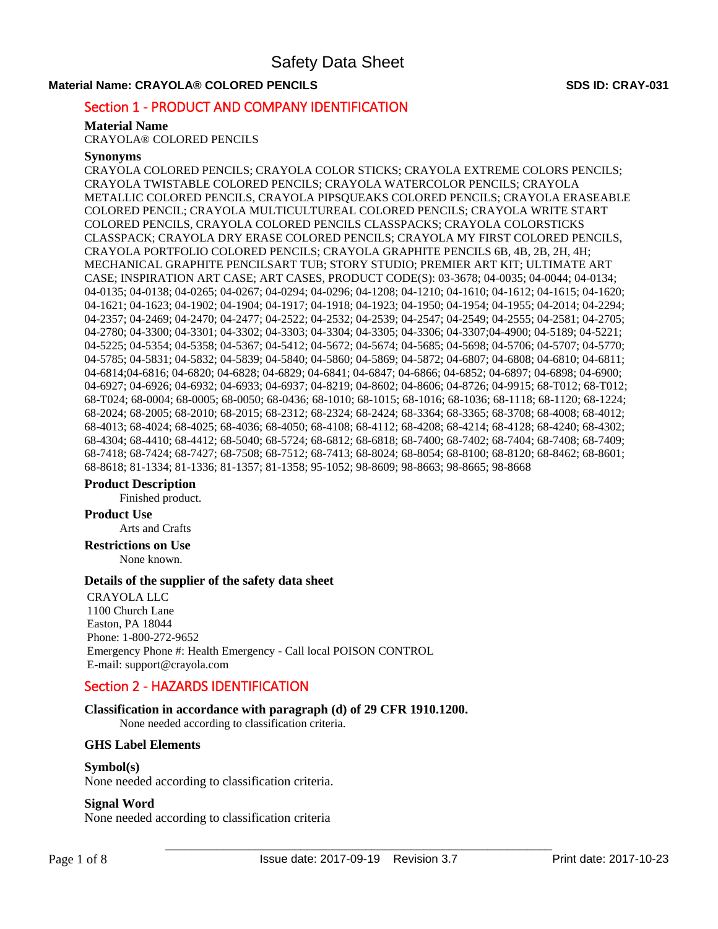# **Material Name: CRAYOLA® COLORED PENCILS SDS ID: CRAY-031 SDS ID: CRAY-031**

# Section 1 - PRODUCT AND COMPANY IDENTIFICATION

# **Material Name**

CRAYOLA® COLORED PENCILS

# **Synonyms**

CRAYOLA COLORED PENCILS; CRAYOLA COLOR STICKS; CRAYOLA EXTREME COLORS PENCILS; CRAYOLA TWISTABLE COLORED PENCILS; CRAYOLA WATERCOLOR PENCILS; CRAYOLA METALLIC COLORED PENCILS, CRAYOLA PIPSQUEAKS COLORED PENCILS; CRAYOLA ERASEABLE COLORED PENCIL; CRAYOLA MULTICULTUREAL COLORED PENCILS; CRAYOLA WRITE START COLORED PENCILS, CRAYOLA COLORED PENCILS CLASSPACKS; CRAYOLA COLORSTICKS CLASSPACK; CRAYOLA DRY ERASE COLORED PENCILS; CRAYOLA MY FIRST COLORED PENCILS, CRAYOLA PORTFOLIO COLORED PENCILS; CRAYOLA GRAPHITE PENCILS 6B, 4B, 2B, 2H, 4H; MECHANICAL GRAPHITE PENCILSART TUB; STORY STUDIO; PREMIER ART KIT; ULTIMATE ART CASE; INSPIRATION ART CASE; ART CASES, PRODUCT CODE(S): 03-3678; 04-0035; 04-0044; 04-0134; 04-0135; 04-0138; 04-0265; 04-0267; 04-0294; 04-0296; 04-1208; 04-1210; 04-1610; 04-1612; 04-1615; 04-1620; 04-1621; 04-1623; 04-1902; 04-1904; 04-1917; 04-1918; 04-1923; 04-1950; 04-1954; 04-1955; 04-2014; 04-2294; 04-2357; 04-2469; 04-2470; 04-2477; 04-2522; 04-2532; 04-2539; 04-2547; 04-2549; 04-2555; 04-2581; 04-2705; 04-2780; 04-3300; 04-3301; 04-3302; 04-3303; 04-3304; 04-3305; 04-3306; 04-3307;04-4900; 04-5189; 04-5221; 04-5225; 04-5354; 04-5358; 04-5367; 04-5412; 04-5672; 04-5674; 04-5685; 04-5698; 04-5706; 04-5707; 04-5770; 04-5785; 04-5831; 04-5832; 04-5839; 04-5840; 04-5860; 04-5869; 04-5872; 04-6807; 04-6808; 04-6810; 04-6811; 04-6814;04-6816; 04-6820; 04-6828; 04-6829; 04-6841; 04-6847; 04-6866; 04-6852; 04-6897; 04-6898; 04-6900; 04-6927; 04-6926; 04-6932; 04-6933; 04-6937; 04-8219; 04-8602; 04-8606; 04-8726; 04-9915; 68-T012; 68-T012; 68-T024; 68-0004; 68-0005; 68-0050; 68-0436; 68-1010; 68-1015; 68-1016; 68-1036; 68-1118; 68-1120; 68-1224; 68-2024; 68-2005; 68-2010; 68-2015; 68-2312; 68-2324; 68-2424; 68-3364; 68-3365; 68-3708; 68-4008; 68-4012; 68-4013; 68-4024; 68-4025; 68-4036; 68-4050; 68-4108; 68-4112; 68-4208; 68-4214; 68-4128; 68-4240; 68-4302; 68-4304; 68-4410; 68-4412; 68-5040; 68-5724; 68-6812; 68-6818; 68-7400; 68-7402; 68-7404; 68-7408; 68-7409; 68-7418; 68-7424; 68-7427; 68-7508; 68-7512; 68-7413; 68-8024; 68-8054; 68-8100; 68-8120; 68-8462; 68-8601; 68-8618; 81-1334; 81-1336; 81-1357; 81-1358; 95-1052; 98-8609; 98-8663; 98-8665; 98-8668

# **Product Description**

Finished product.

# **Product Use**

Arts and Crafts

**Restrictions on Use** None known.

# **Details of the supplier of the safety data sheet**

CRAYOLA LLC 1100 Church Lane Easton, PA 18044 Phone: 1-800-272-9652 Emergency Phone #: Health Emergency - Call local POISON CONTROL E-mail: support@crayola.com

# Section 2 - HAZARDS IDENTIFICATION

# **Classification in accordance with paragraph (d) of 29 CFR 1910.1200.**

None needed according to classification criteria.

# **GHS Label Elements**

# **Symbol(s)**

None needed according to classification criteria.

# **Signal Word**

None needed according to classification criteria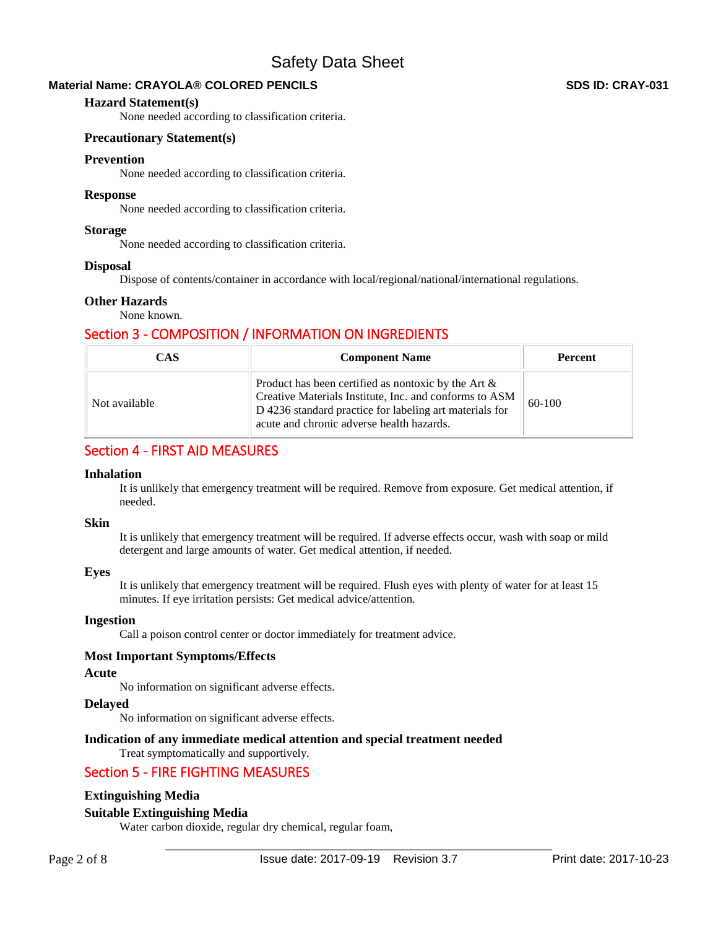# **Material Name: CRAYOLA® COLORED PENCILS SDS ID: CRAY-031 SDS ID: CRAY-031**

# **Hazard Statement(s)**

None needed according to classification criteria.

# **Precautionary Statement(s)**

# **Prevention**

None needed according to classification criteria.

# **Response**

None needed according to classification criteria.

# **Storage**

None needed according to classification criteria.

# **Disposal**

Dispose of contents/container in accordance with local/regional/national/international regulations.

# **Other Hazards**

None known.

# Section 3 - COMPOSITION / INFORMATION ON INGREDIENTS

| <b>CAS</b>    | <b>Component Name</b>                                                                                                                                                                                                    | <b>Percent</b> |  |  |
|---------------|--------------------------------------------------------------------------------------------------------------------------------------------------------------------------------------------------------------------------|----------------|--|--|
| Not available | Product has been certified as nontoxic by the Art $\&$<br>Creative Materials Institute, Inc. and conforms to ASM<br>D 4236 standard practice for labeling art materials for<br>acute and chronic adverse health hazards. | $60-100$       |  |  |

# Section 4 - FIRST AID MEASURES

# **Inhalation**

It is unlikely that emergency treatment will be required. Remove from exposure. Get medical attention, if needed.

# **Skin**

It is unlikely that emergency treatment will be required. If adverse effects occur, wash with soap or mild detergent and large amounts of water. Get medical attention, if needed.

# **Eyes**

It is unlikely that emergency treatment will be required. Flush eyes with plenty of water for at least 15 minutes. If eye irritation persists: Get medical advice/attention.

# **Ingestion**

Call a poison control center or doctor immediately for treatment advice.

# **Most Important Symptoms/Effects**

# **Acute**

No information on significant adverse effects.

# **Delayed**

No information on significant adverse effects.

# **Indication of any immediate medical attention and special treatment needed**

# Treat symptomatically and supportively.

# Section 5 - FIRE FIGHTING MEASURES

# **Extinguishing Media**

# **Suitable Extinguishing Media**

Water carbon dioxide, regular dry chemical, regular foam,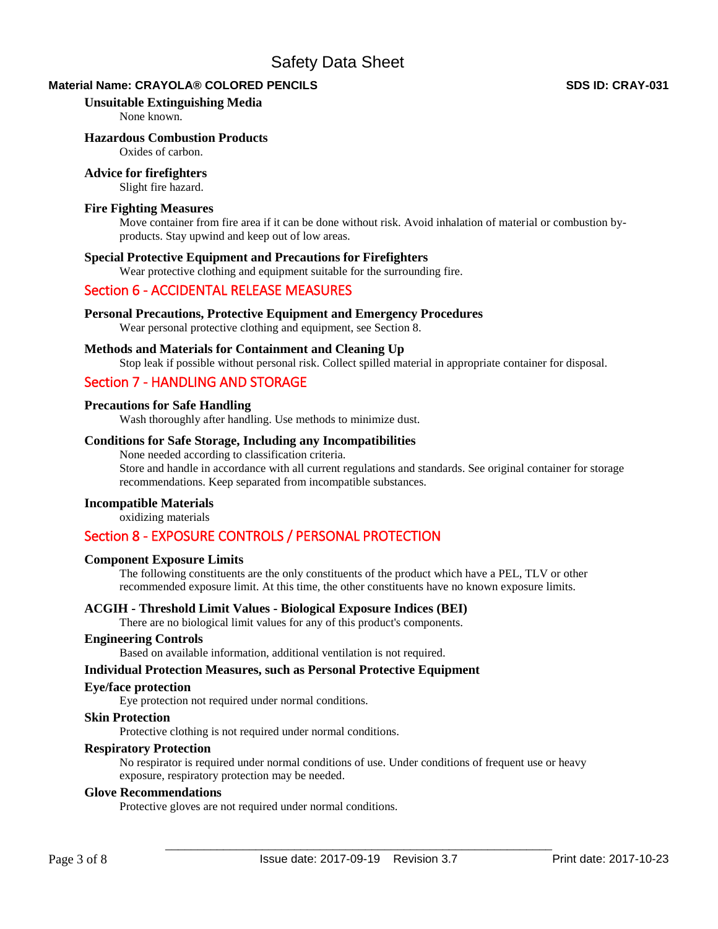# **Material Name: CRAYOLA® COLORED PENCILS SDS ID: CRAY-031 SDS ID: CRAY-031**

# **Unsuitable Extinguishing Media**

None known.

# **Hazardous Combustion Products**

Oxides of carbon.

# **Advice for firefighters**

Slight fire hazard.

# **Fire Fighting Measures**

Move container from fire area if it can be done without risk. Avoid inhalation of material or combustion byproducts. Stay upwind and keep out of low areas.

#### **Special Protective Equipment and Precautions for Firefighters**

Wear protective clothing and equipment suitable for the surrounding fire.

# Section 6 - ACCIDENTAL RELEASE MEASURES

# **Personal Precautions, Protective Equipment and Emergency Procedures**

Wear personal protective clothing and equipment, see Section 8.

# **Methods and Materials for Containment and Cleaning Up**

Stop leak if possible without personal risk. Collect spilled material in appropriate container for disposal.

# Section 7 - HANDLING AND STORAGE

# **Precautions for Safe Handling**

Wash thoroughly after handling. Use methods to minimize dust.

#### **Conditions for Safe Storage, Including any Incompatibilities**

None needed according to classification criteria. Store and handle in accordance with all current regulations and standards. See original container for storage recommendations. Keep separated from incompatible substances.

# **Incompatible Materials**

oxidizing materials

# Section 8 - EXPOSURE CONTROLS / PERSONAL PROTECTION

#### **Component Exposure Limits**

The following constituents are the only constituents of the product which have a PEL, TLV or other recommended exposure limit. At this time, the other constituents have no known exposure limits.

# **ACGIH - Threshold Limit Values - Biological Exposure Indices (BEI)**

There are no biological limit values for any of this product's components.

#### **Engineering Controls**

Based on available information, additional ventilation is not required.

#### **Individual Protection Measures, such as Personal Protective Equipment**

#### **Eye/face protection**

Eye protection not required under normal conditions.

#### **Skin Protection**

Protective clothing is not required under normal conditions.

#### **Respiratory Protection**

No respirator is required under normal conditions of use. Under conditions of frequent use or heavy exposure, respiratory protection may be needed.

#### **Glove Recommendations**

Protective gloves are not required under normal conditions.

Page 3 of 8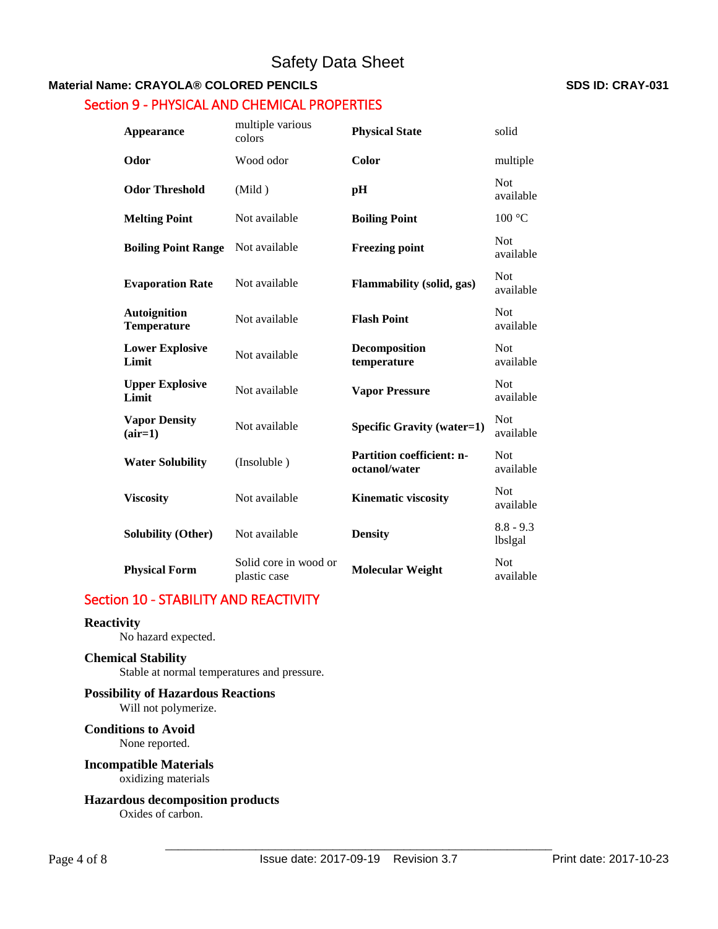# **Material Name: CRAYOLA® COLORED PENCILS SDS ID: CRAY-031**

# Section 9 - PHYSICAL AND CHEMICAL PROPERTIES

| Appearance                                | multiple various<br>colors            | <b>Physical State</b>                             | solid                   |  |
|-------------------------------------------|---------------------------------------|---------------------------------------------------|-------------------------|--|
| Odor                                      | Wood odor                             | Color                                             | multiple                |  |
| <b>Odor Threshold</b>                     | (Mild)                                | pH                                                | <b>Not</b><br>available |  |
| <b>Melting Point</b>                      | Not available                         | <b>Boiling Point</b>                              | 100 °C                  |  |
| <b>Boiling Point Range</b>                | Not available                         | <b>Freezing point</b>                             | <b>Not</b><br>available |  |
| <b>Evaporation Rate</b>                   | Not available                         | <b>Flammability</b> (solid, gas)                  | Not<br>available        |  |
| <b>Autoignition</b><br><b>Temperature</b> | Not available                         | <b>Flash Point</b>                                | <b>Not</b><br>available |  |
| <b>Lower Explosive</b><br>Limit           | Not available                         | Decomposition<br>temperature                      | Not<br>available        |  |
| <b>Upper Explosive</b><br>Limit           | Not available                         | <b>Vapor Pressure</b>                             | <b>Not</b><br>available |  |
| <b>Vapor Density</b><br>$(air=1)$         | Not available                         | <b>Specific Gravity (water=1)</b>                 | <b>Not</b><br>available |  |
| <b>Water Solubility</b>                   | (Insoluble)                           | <b>Partition coefficient: n-</b><br>octanol/water | <b>Not</b><br>available |  |
| <b>Viscosity</b>                          | Not available                         | <b>Kinematic viscosity</b>                        | <b>Not</b><br>available |  |
| <b>Solubility (Other)</b>                 | Not available                         | <b>Density</b>                                    | $8.8 - 9.3$<br>lbslgal  |  |
| <b>Physical Form</b>                      | Solid core in wood or<br>plastic case | <b>Molecular Weight</b>                           | <b>Not</b><br>available |  |

# Section 10 - STABILITY AND REACTIVITY

# **Reactivity**

No hazard expected.

# **Chemical Stability**

Stable at normal temperatures and pressure.

# **Possibility of Hazardous Reactions**

Will not polymerize.

#### **Conditions to Avoid** None reported.

# **Incompatible Materials** oxidizing materials

**Hazardous decomposition products**  Oxides of carbon.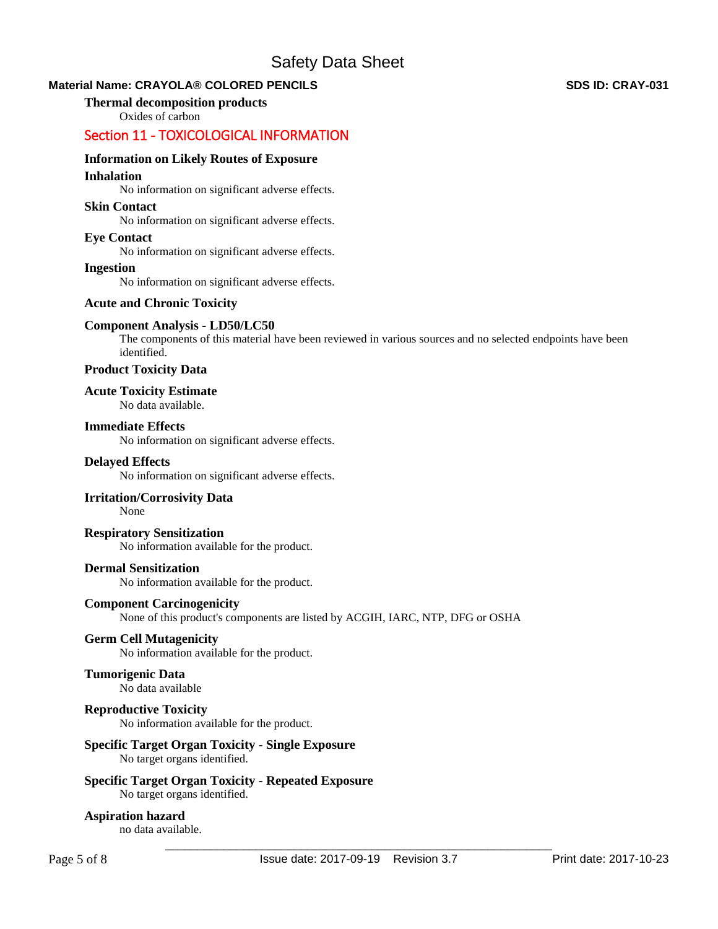# **Material Name: CRAYOLA® COLORED PENCILS SDS ID: CRAY-031 SDS ID: CRAY-031**

# **Thermal decomposition products**

Oxides of carbon

# Section 11 - TOXICOLOGICAL INFORMATION

# **Information on Likely Routes of Exposure**

# **Inhalation**

No information on significant adverse effects.

# **Skin Contact**

No information on significant adverse effects.

# **Eye Contact**

No information on significant adverse effects.

# **Ingestion**

No information on significant adverse effects.

# **Acute and Chronic Toxicity**

# **Component Analysis - LD50/LC50**

The components of this material have been reviewed in various sources and no selected endpoints have been identified.

# **Product Toxicity Data**

**Acute Toxicity Estimate** 

No data available.

# **Immediate Effects**

No information on significant adverse effects.

# **Delayed Effects**

No information on significant adverse effects.

# **Irritation/Corrosivity Data**

None

# **Respiratory Sensitization**

No information available for the product.

# **Dermal Sensitization**

No information available for the product.

# **Component Carcinogenicity**

None of this product's components are listed by ACGIH, IARC, NTP, DFG or OSHA

# **Germ Cell Mutagenicity**

No information available for the product.

# **Tumorigenic Data**

No data available

# **Reproductive Toxicity**

No information available for the product.

# **Specific Target Organ Toxicity - Single Exposure**

No target organs identified.

# **Specific Target Organ Toxicity - Repeated Exposure**

No target organs identified.

# **Aspiration hazard**

no data available.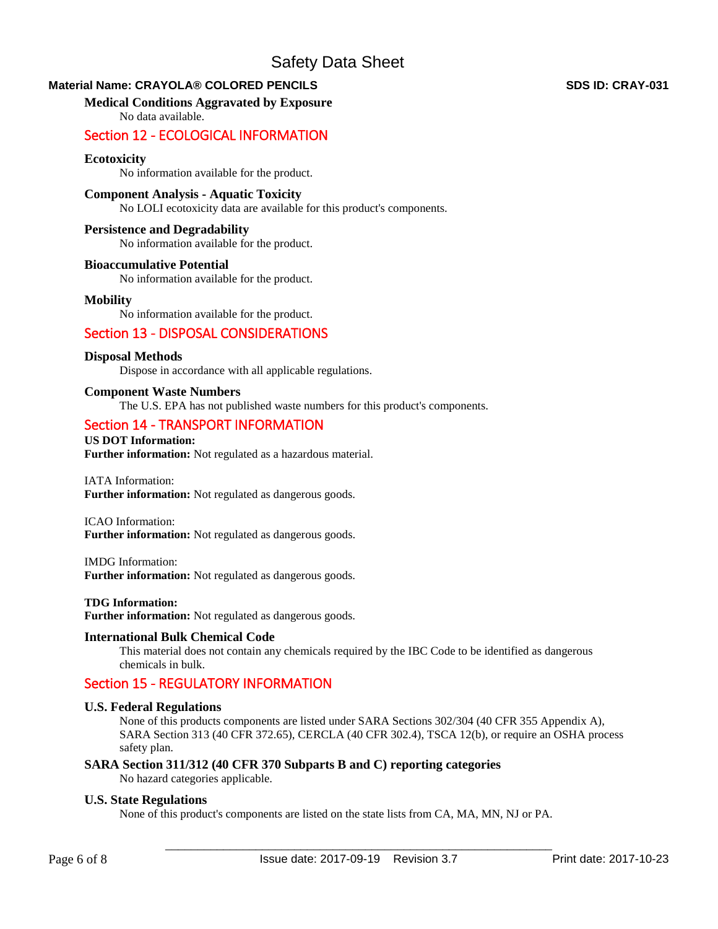# **Material Name: CRAYOLA® COLORED PENCILS SDS ID: CRAY-031 SDS ID: CRAY-031**

# **Medical Conditions Aggravated by Exposure**

No data available.

# Section 12 - ECOLOGICAL INFORMATION

# **Ecotoxicity**

No information available for the product.

# **Component Analysis - Aquatic Toxicity**

No LOLI ecotoxicity data are available for this product's components.

# **Persistence and Degradability**

No information available for the product.

# **Bioaccumulative Potential**

No information available for the product.

# **Mobility**

No information available for the product.

# Section 13 - DISPOSAL CONSIDERATIONS

# **Disposal Methods**

Dispose in accordance with all applicable regulations.

# **Component Waste Numbers**

The U.S. EPA has not published waste numbers for this product's components.

# Section 14 - TRANSPORT INFORMATION

#### **US DOT Information: Further information:** Not regulated as a hazardous material.

IATA Information: **Further information:** Not regulated as dangerous goods.

#### ICAO Information: **Further information:** Not regulated as dangerous goods.

IMDG Information: **Further information:** Not regulated as dangerous goods.

# **TDG Information:**

**Further information:** Not regulated as dangerous goods.

# **International Bulk Chemical Code**

This material does not contain any chemicals required by the IBC Code to be identified as dangerous chemicals in bulk.

# Section 15 - REGULATORY INFORMATION

# **U.S. Federal Regulations**

None of this products components are listed under SARA Sections 302/304 (40 CFR 355 Appendix A), SARA Section 313 (40 CFR 372.65), CERCLA (40 CFR 302.4), TSCA 12(b), or require an OSHA process safety plan.

# **SARA Section 311/312 (40 CFR 370 Subparts B and C) reporting categories**

No hazard categories applicable.

# **U.S. State Regulations**

None of this product's components are listed on the state lists from CA, MA, MN, NJ or PA.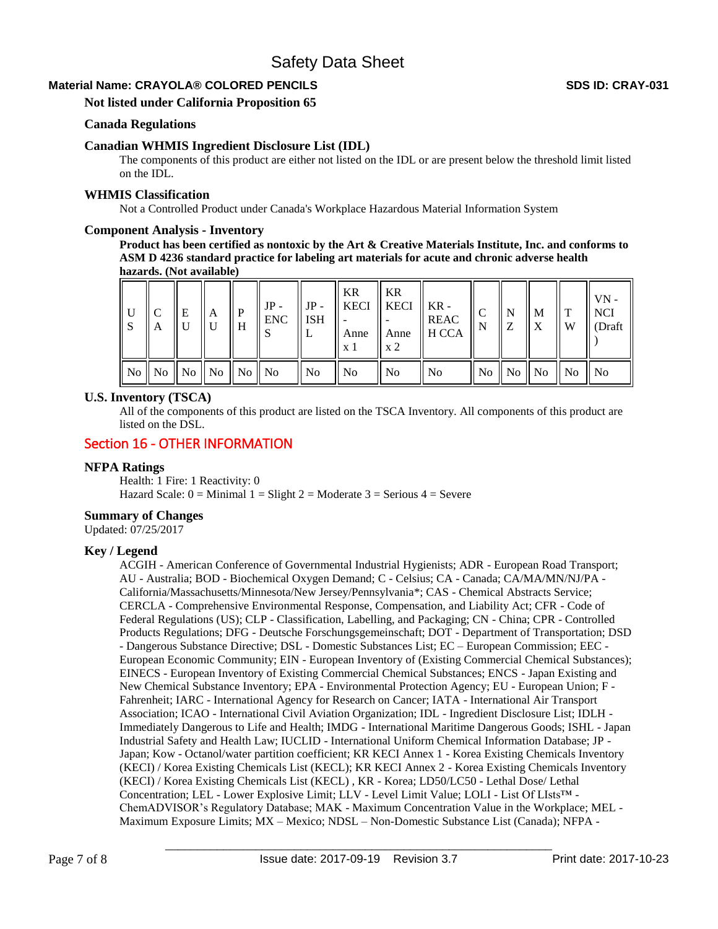# **Material Name: CRAYOLA® COLORED PENCILS SDS ID: CRAY-031 SDS ID: CRAY-031**

**Not listed under California Proposition 65** 

# **Canada Regulations**

# **Canadian WHMIS Ingredient Disclosure List (IDL)**

The components of this product are either not listed on the IDL or are present below the threshold limit listed on the IDL.

#### **WHMIS Classification**

Not a Controlled Product under Canada's Workplace Hazardous Material Information System

#### **Component Analysis - Inventory**

**Product has been certified as nontoxic by the Art & Creative Materials Institute, Inc. and conforms to ASM D 4236 standard practice for labeling art materials for acute and chronic adverse health hazards. (Not available)**

| S. | A | E | l A                              | P<br>H | $JP -$<br>ENC | $JP -$<br><b>ISH</b><br>┶ | KR<br>Anne<br>x 1 | <b>KR</b><br>$\parallel$ KECI $\parallel$ KECI $\parallel$ KR -<br>$\boldsymbol{\mathrm{x}}$ 2 | <b>REAC</b><br>$\parallel$ Anne $\parallel$ H CCA | $\mathsf{N}$ | $\mathbf N$<br>Z | $\mathbf{M}$                                                | т<br>W | $VN -$<br><b>NCI</b><br>(Draft) |
|----|---|---|----------------------------------|--------|---------------|---------------------------|-------------------|------------------------------------------------------------------------------------------------|---------------------------------------------------|--------------|------------------|-------------------------------------------------------------|--------|---------------------------------|
|    |   |   | No    No    No    No    No    No |        |               | ll No                     | N <sub>0</sub>    | No                                                                                             | N <sub>o</sub>                                    |              |                  | $\parallel$ No $\parallel$ No $\parallel$ No $\parallel$ No |        | No                              |

#### **U.S. Inventory (TSCA)**

All of the components of this product are listed on the TSCA Inventory. All components of this product are listed on the DSL.

# Section 16 - OTHER INFORMATION

# **NFPA Ratings**

Health: 1 Fire: 1 Reactivity: 0 Hazard Scale:  $0 =$  Minimal  $1 =$  Slight  $2 =$  Moderate  $3 =$  Serious  $4 =$  Severe

# **Summary of Changes**

Updated: 07/25/2017

# **Key / Legend**

ACGIH - American Conference of Governmental Industrial Hygienists; ADR - European Road Transport; AU - Australia; BOD - Biochemical Oxygen Demand; C - Celsius; CA - Canada; CA/MA/MN/NJ/PA - California/Massachusetts/Minnesota/New Jersey/Pennsylvania\*; CAS - Chemical Abstracts Service; CERCLA - Comprehensive Environmental Response, Compensation, and Liability Act; CFR - Code of Federal Regulations (US); CLP - Classification, Labelling, and Packaging; CN - China; CPR - Controlled Products Regulations; DFG - Deutsche Forschungsgemeinschaft; DOT - Department of Transportation; DSD - Dangerous Substance Directive; DSL - Domestic Substances List; EC – European Commission; EEC - European Economic Community; EIN - European Inventory of (Existing Commercial Chemical Substances); EINECS - European Inventory of Existing Commercial Chemical Substances; ENCS - Japan Existing and New Chemical Substance Inventory; EPA - Environmental Protection Agency; EU - European Union; F - Fahrenheit; IARC - International Agency for Research on Cancer; IATA - International Air Transport Association; ICAO - International Civil Aviation Organization; IDL - Ingredient Disclosure List; IDLH - Immediately Dangerous to Life and Health; IMDG - International Maritime Dangerous Goods; ISHL - Japan Industrial Safety and Health Law; IUCLID - International Uniform Chemical Information Database; JP - Japan; Kow - Octanol/water partition coefficient; KR KECI Annex 1 - Korea Existing Chemicals Inventory (KECI) / Korea Existing Chemicals List (KECL); KR KECI Annex 2 - Korea Existing Chemicals Inventory (KECI) / Korea Existing Chemicals List (KECL) , KR - Korea; LD50/LC50 - Lethal Dose/ Lethal Concentration; LEL - Lower Explosive Limit; LLV - Level Limit Value; LOLI - List Of LIsts™ - ChemADVISOR's Regulatory Database; MAK - Maximum Concentration Value in the Workplace; MEL - Maximum Exposure Limits; MX – Mexico; NDSL – Non-Domestic Substance List (Canada); NFPA -